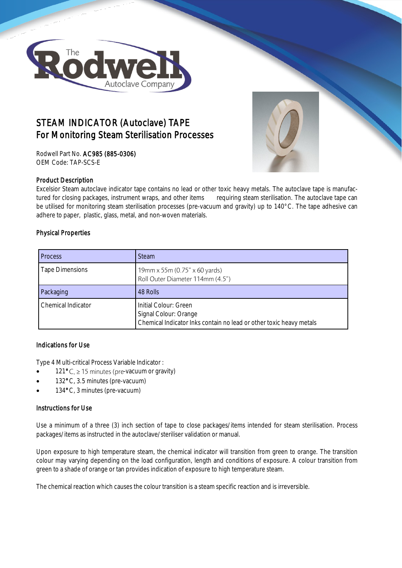

# STEAM INDICATOR (Autoclave) TAPE For Monitoring Steam Sterilisation Processes

Rodwell Part No. AC985 (885-0306) OEM Code: TAP-SCS-E



Excelsior Steam autoclave indicator tape contains no lead or other toxic heavy metals. The autoclave tape is manufactured for closing packages, instrument wraps, and other items requiring steam sterilisation. The autoclave tape can be utilised for monitoring steam sterilisation processes (pre-vacuum and gravity) up to 140°C. The tape adhesive can adhere to paper, plastic, glass, metal, and non-woven materials.

## Physical Properties

| <b>Process</b>            | <b>Steam</b>                                                                                                          |  |
|---------------------------|-----------------------------------------------------------------------------------------------------------------------|--|
| <b>Tape Dimensions</b>    | 19mm x 55m (0.75" x 60 yards)<br>Roll Outer Diameter 114mm (4.5")                                                     |  |
| Packaging                 | 48 Rolls                                                                                                              |  |
| <b>Chemical Indicator</b> | Initial Colour: Green<br>Signal Colour: Orange<br>Chemical Indicator Inks contain no lead or other toxic heavy metals |  |

## Indications for Use

Type 4 Multi-critical Process Variable Indicator :

- $121^{\circ}$ C,  $\geq$  15 minutes (pre-vacuum or gravity)
- 132°C, 3.5 minutes (pre-vacuum)
- 134°C, 3 minutes (pre-vacuum)

## Instructions for Use

Use a minimum of a three (3) inch section of tape to close packages/items intended for steam sterilisation. Process packages/items as instructed in the autoclave/steriliser validation or manual.

Upon exposure to high temperature steam, the chemical indicator will transition from green to orange. The transition colour may varying depending on the load configuration, length and conditions of exposure. A colour transition from green to a shade of orange or tan provides indication of exposure to high temperature steam.

The chemical reaction which causes the colour transition is a steam specific reaction and is irreversible.